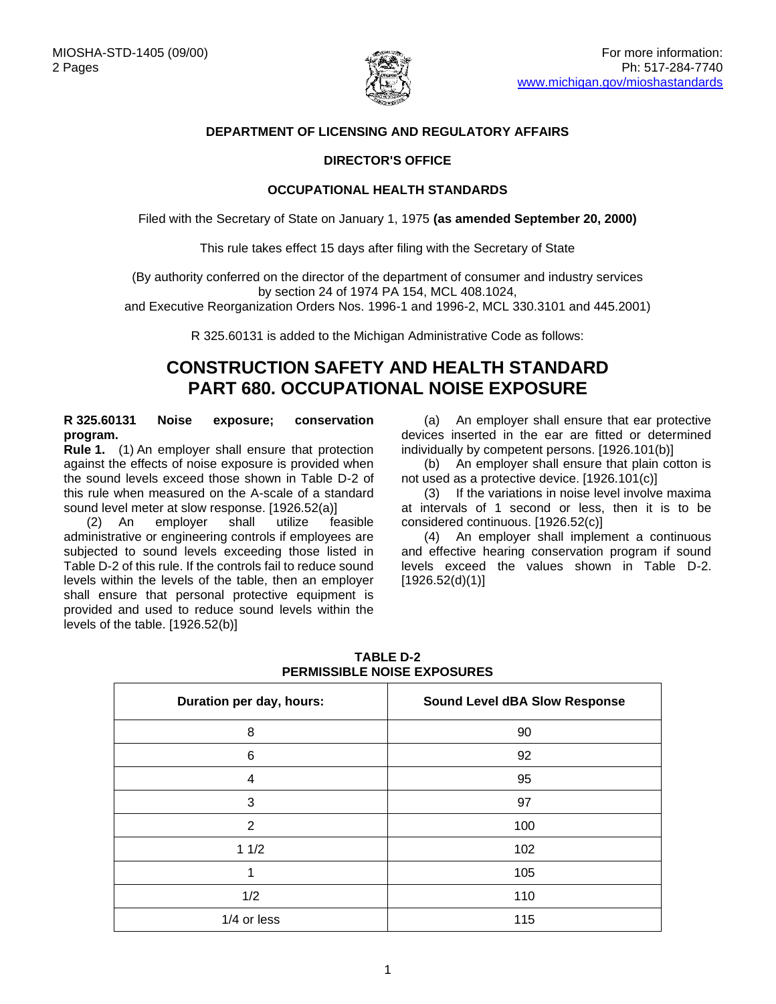

## **DEPARTMENT OF LICENSING AND REGULATORY AFFAIRS**

## **DIRECTOR'S OFFICE**

### **OCCUPATIONAL HEALTH STANDARDS**

Filed with the Secretary of State on January 1, 1975 **(as amended September 20, 2000)**

This rule takes effect 15 days after filing with the Secretary of State

(By authority conferred on the director of the department of consumer and industry services by section 24 of 1974 PA 154, MCL 408.1024,

and Executive Reorganization Orders Nos. 1996-1 and 1996-2, MCL 330.3101 and 445.2001)

R 325.60131 is added to the Michigan Administrative Code as follows:

# **CONSTRUCTION SAFETY AND HEALTH STANDARD PART 680. OCCUPATIONAL NOISE EXPOSURE**

### **R 325.60131 Noise exposure; conservation program.**

**Rule 1.** (1) An employer shall ensure that protection against the effects of noise exposure is provided when the sound levels exceed those shown in Table D-2 of this rule when measured on the A-scale of a standard sound level meter at slow response. [1926.52(a)]

(2) An employer shall utilize feasible administrative or engineering controls if employees are subjected to sound levels exceeding those listed in Table D-2 of this rule. If the controls fail to reduce sound levels within the levels of the table, then an employer shall ensure that personal protective equipment is provided and used to reduce sound levels within the levels of the table. [1926.52(b)]

(a) An employer shall ensure that ear protective devices inserted in the ear are fitted or determined individually by competent persons. [1926.101(b)]

(b) An employer shall ensure that plain cotton is not used as a protective device. [1926.101(c)]

(3) If the variations in noise level involve maxima at intervals of 1 second or less, then it is to be considered continuous. [1926.52(c)]

(4) An employer shall implement a continuous and effective hearing conservation program if sound levels exceed the values shown in Table D-2. [1926.52(d)(1)]

| Duration per day, hours: | <b>Sound Level dBA Slow Response</b> |
|--------------------------|--------------------------------------|
| 8                        | 90                                   |
| 6                        | 92                                   |
| 4                        | 95                                   |
| 3                        | 97                                   |
| 2                        | 100                                  |
| 11/2                     | 102                                  |
| 1                        | 105                                  |
| 1/2                      | 110                                  |
| 1/4 or less              | 115                                  |

### **TABLE D-2 PERMISSIBLE NOISE EXPOSURES**